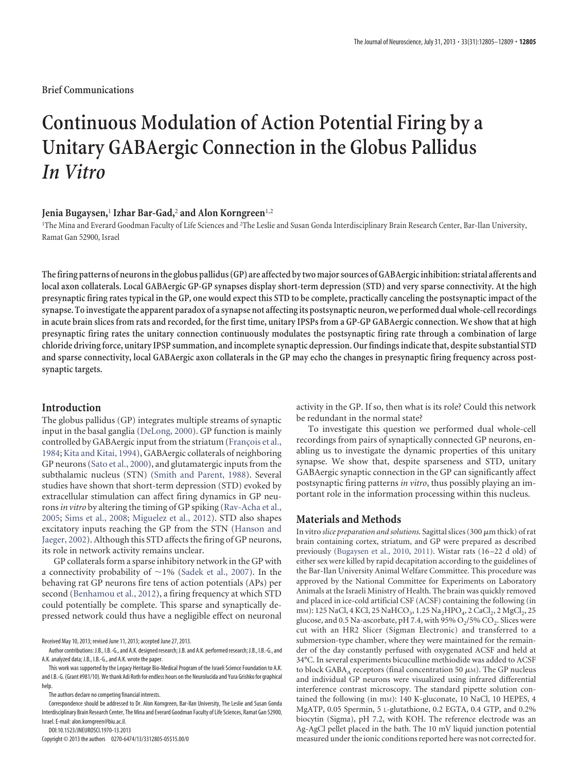## **Brief Communications**

# **Continuous Modulation of Action Potential Firing by a Unitary GABAergic Connection in the Globus Pallidus** *In Vitro*

### **Jenia Bugaysen,**<sup>1</sup> **Izhar Bar-Gad,**<sup>2</sup> **and Alon Korngreen**1,2

1 The Mina and Everard Goodman Faculty of Life Sciences and <sup>2</sup> The Leslie and Susan Gonda Interdisciplinary Brain Research Center, Bar-Ilan University, Ramat Gan 52900, Israel

**Thefiring patterns of neurons inthe globus pallidus (GP) are affected bytwo major sources of GABAergic inhibition: striatal afferents and local axon collaterals. Local GABAergic GP-GP synapses display short-term depression (STD) and very sparse connectivity. At the high presynaptic firing rates typical in the GP, one would expect this STD to be complete, practically canceling the postsynaptic impact of the** synapse. To investigate the apparent paradox of a synapse not affecting its postsynaptic neuron, we performed dual whole-cell recordings **in acute brain slices from rats and recorded, for the first time, unitary IPSPs from a GP-GP GABAergic connection. We show that at high presynaptic firing rates the unitary connection continuously modulates the postsynaptic firing rate through a combination of large chloride driving force, unitary IPSP summation, and incomplete synaptic depression. Our findings indicate that, despite substantial STD and sparse connectivity, local GABAergic axon collaterals in the GP may echo the changes in presynaptic firing frequency across postsynaptic targets.**

#### **Introduction**

The globus pallidus (GP) integrates multiple streams of synaptic input in the basal ganglia [\(DeLong, 2000\)](#page-4-0). GP function is mainly controlled by GABAergic input from the striatum (François et al., [1984;](#page-4-1) [Kita and Kitai, 1994\)](#page-4-2), GABAergic collaterals of neighboring GP neurons [\(Sato et al., 2000\)](#page-4-3), and glutamatergic inputs from the subthalamic nucleus (STN) [\(Smith and Parent, 1988\)](#page-4-4). Several studies have shown that short-term depression (STD) evoked by extracellular stimulation can affect firing dynamics in GP neurons*in vitro* by altering the timing of GP spiking [\(Rav-Acha et al.,](#page-4-5) [2005;](#page-4-5) [Sims et al., 2008;](#page-4-6) [Miguelez et al., 2012\)](#page-4-7). STD also shapes excitatory inputs reaching the GP from the STN [\(Hanson and](#page-4-8) [Jaeger, 2002\)](#page-4-8). Although this STD affects the firing of GP neurons, its role in network activity remains unclear.

GP collaterals form a sparse inhibitory network in the GP with a connectivity probability of  $\sim$ 1% [\(Sadek et al., 2007\)](#page-4-9). In the behaving rat GP neurons fire tens of action potentials (APs) per second [\(Benhamou et al., 2012\)](#page-4-10), a firing frequency at which STD could potentially be complete. This sparse and synaptically depressed network could thus have a negligible effect on neuronal

Received May 10, 2013; revised June 11, 2013; accepted June 27, 2013.

The authors declare no competing financial interests.

Correspondence should be addressed to Dr. Alon Korngreen, Bar-Ilan University, The Leslie and Susan Gonda Interdisciplinary Brain Research Center, The Mina and Everard Goodman Faculty of Life Sciences, Ramat Gan 52900, Israel. E-mail: alon.korngreen@biu.ac.il.

DOI:10.1523/JNEUROSCI.1970-13.2013

Copyright © 2013 the authors 0270-6474/13/3312805-05\$15.00/0

activity in the GP. If so, then what is its role? Could this network be redundant in the normal state?

To investigate this question we performed dual whole-cell recordings from pairs of synaptically connected GP neurons, enabling us to investigate the dynamic properties of this unitary synapse. We show that, despite sparseness and STD, unitary GABAergic synaptic connection in the GP can significantly affect postsynaptic firing patterns *in vitro*, thus possibly playing an important role in the information processing within this nucleus.

## **Materials and Methods**

In vitro *slice preparation and solutions*. Sagittal slices (300  $\mu$ m thick) of rat brain containing cortex, striatum, and GP were prepared as described previously [\(Bugaysen et al., 2010,](#page-4-11) [2011\)](#page-4-12). Wistar rats (16 –22 d old) of either sex were killed by rapid decapitation according to the guidelines of the Bar-Ilan University Animal Welfare Committee. This procedure was approved by the National Committee for Experiments on Laboratory Animals at the Israeli Ministry of Health. The brain was quickly removed and placed in ice-cold artificial CSF (ACSF) containing the following (in mm): 125 NaCl, 4 KCl, 25 NaHCO<sub>3</sub>, 1.25 Na<sub>2</sub>HPO<sub>4</sub>, 2 CaCl<sub>2</sub>, 2 MgCl<sub>2</sub>, 25 glucose, and 0.5 Na-ascorbate, pH 7.4, with 95%  $O_2/5$ %  $CO_2$ . Slices were cut with an HR2 Slicer (Sigman Electronic) and transferred to a submersion-type chamber, where they were maintained for the remainder of the day constantly perfused with oxygenated ACSF and held at 34°C. In several experiments bicuculline methiodide was added to ACSF to block GABA<sub>A</sub> receptors (final concentration 50  $\mu$ M). The GP nucleus and individual GP neurons were visualized using infrared differential interference contrast microscopy. The standard pipette solution contained the following (in mM): 140 K-gluconate, 10 NaCl, 10 HEPES, 4 MgATP, 0.05 Spermin, 5 L-glutathione, 0.2 EGTA, 0.4 GTP, and 0.2% biocytin (Sigma), pH 7.2, with KOH. The reference electrode was an Ag-AgCl pellet placed in the bath. The 10 mV liquid junction potential measured under the ionic conditions reported here was not corrected for.

Author contributions: J.B., I.B.-G., and A.K. designed research; J.B. and A.K. performed research; J.B., I.B.-G., and A.K. analyzed data; J.B., I.B.-G., and A.K. wrote the paper.

This work was supported by the Legacy Heritage Bio-Medical Program of the Israeli Science Foundation to A.K. and I.B.-G. (Grant #981/10). We thank Adi Roth for endless hours on the Neurolucida and Yura Grishko for graphical help.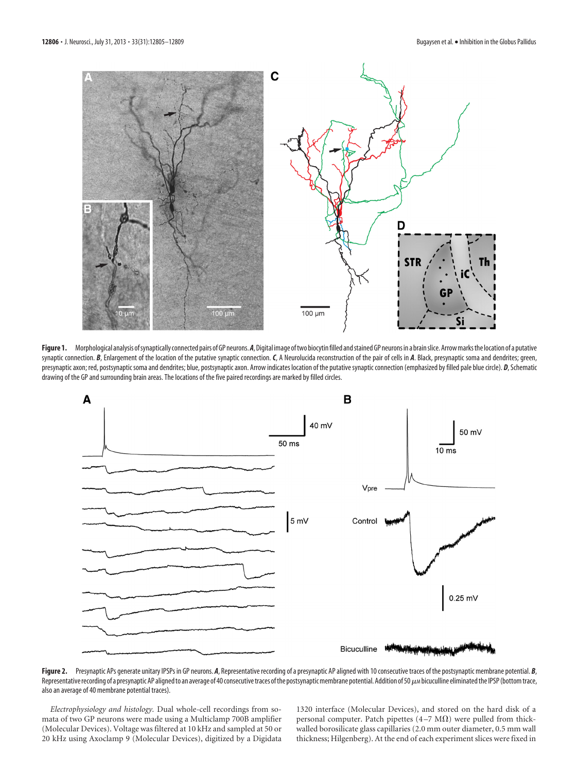

<span id="page-1-0"></span>Figure 1. Morphological analysis of synaptically connected pairs of GP neurons. A, Digital image of two biocytin filled and stained GP neurons in a brain slice. Arrow marks the location of a putative synaptic connection. *B*, Enlargement of the location of the putative synaptic connection. *C*, A Neurolucida reconstruction of the pair of cells in *A*. Black, presynaptic soma and dendrites; green, presynaptic axon; red, postsynaptic soma and dendrites; blue, postsynaptic axon. Arrow indicates location of the putative synaptic connection (emphasized by filled pale blue circle). *D*, Schematic drawing of the GP and surrounding brain areas. The locations of the five paired recordings are marked by filled circles.



<span id="page-1-1"></span>Figure 2. Presynaptic APs generate unitary IPSPs in GP neurons. *A*, Representative recording of a presynaptic AP aligned with 10 consecutive traces of the postsynaptic membrane potential. *B*, Representative recording of a presynaptic AP aligned to an average of 40 consecutive traces of the postsynaptic membrane potential. Addition of 50  $\mu$  bicuculline eliminated the IPSP (bottom trace, also an average of 40 membrane potential traces).

*Electrophysiology and histology.* Dual whole-cell recordings from somata of two GP neurons were made using a Multiclamp 700B amplifier (Molecular Devices). Voltage was filtered at 10 kHz and sampled at 50 or 20 kHz using Axoclamp 9 (Molecular Devices), digitized by a Digidata 1320 interface (Molecular Devices), and stored on the hard disk of a personal computer. Patch pipettes  $(4-7 \text{ M}\Omega)$  were pulled from thickwalled borosilicate glass capillaries (2.0 mm outer diameter, 0.5 mm wall thickness; Hilgenberg). At the end of each experiment slices were fixed in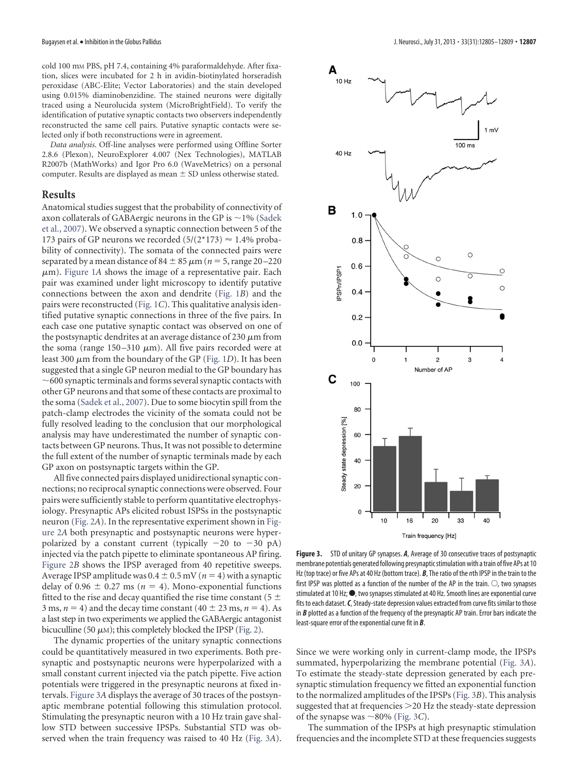cold 100 mM PBS, pH 7.4, containing 4% paraformaldehyde. After fixation, slices were incubated for 2 h in avidin-biotinylated horseradish peroxidase (ABC-Elite; Vector Laboratories) and the stain developed using 0.015% diaminobenzidine. The stained neurons were digitally traced using a Neurolucida system (MicroBrightField). To verify the identification of putative synaptic contacts two observers independently reconstructed the same cell pairs. Putative synaptic contacts were selected only if both reconstructions were in agreement.

*Data analysis.* Off-line analyses were performed using Offline Sorter 2.8.6 (Plexon), NeuroExplorer 4.007 (Nex Technologies), MATLAB R2007b (MathWorks) and Igor Pro 6.0 (WaveMetrics) on a personal computer. Results are displayed as mean  $\pm$  SD unless otherwise stated.

# **Results**

Anatomical studies suggest that the probability of connectivity of axon collaterals of GABAergic neurons in the GP is  $\sim$  1% [\(Sadek](#page-4-9) [et al., 2007\)](#page-4-9). We observed a synaptic connection between 5 of the 173 pairs of GP neurons we recorded  $(5/(2*173) \approx 1.4\%$  probability of connectivity). The somata of the connected pairs were separated by a mean distance of  $84 \pm 85 \,\mu m$  ( $n = 5$ , range 20 – 220  $\mu$ m). [Figure 1](#page-1-0)A shows the image of a representative pair. Each pair was examined under light microscopy to identify putative connections between the axon and dendrite [\(Fig. 1](#page-1-0)*B*) and the pairs were reconstructed [\(Fig. 1](#page-1-0)*C*). This qualitative analysis identified putative synaptic connections in three of the five pairs. In each case one putative synaptic contact was observed on one of the postsynaptic dendrites at an average distance of 230  $\mu$ m from the soma (range  $150-310 \mu m$ ). All five pairs recorded were at least 300 μm from the boundary of the GP [\(Fig. 1](#page-1-0)D). It has been suggested that a single GP neuron medial to the GP boundary has  $\sim$  600 synaptic terminals and forms several synaptic contacts with other GP neurons and that some of these contacts are proximal to the soma [\(Sadek et al., 2007\)](#page-4-9). Due to some biocytin spill from the patch-clamp electrodes the vicinity of the somata could not be fully resolved leading to the conclusion that our morphological analysis may have underestimated the number of synaptic contacts between GP neurons. Thus, It was not possible to determine the full extent of the number of synaptic terminals made by each GP axon on postsynaptic targets within the GP.

All five connected pairs displayed unidirectional synaptic connections; no reciprocal synaptic connections were observed. Four pairs were sufficiently stable to perform quantitative electrophysiology. Presynaptic APs elicited robust ISPSs in the postsynaptic neuron [\(Fig. 2](#page-1-1)*A*). In the representative experiment shown in [Fig](#page-1-1)[ure 2](#page-1-1)*A* both presynaptic and postsynaptic neurons were hyperpolarized by a constant current (typically  $-20$  to  $-30$  pA) injected via the patch pipette to eliminate spontaneous AP firing. [Figure 2](#page-1-1)*B* shows the IPSP averaged from 40 repetitive sweeps. Average IPSP amplitude was  $0.4 \pm 0.5$  mV ( $n = 4$ ) with a synaptic delay of 0.96  $\pm$  0.27 ms ( $n = 4$ ). Mono-exponential functions fitted to the rise and decay quantified the rise time constant (5  $\pm$ 3 ms,  $n = 4$ ) and the decay time constant ( $40 \pm 23$  ms,  $n = 4$ ). As a last step in two experiments we applied the GABAergic antagonist bicuculline (50  $\mu$ M); this completely blocked the IPSP [\(Fig. 2\)](#page-1-1).

The dynamic properties of the unitary synaptic connections could be quantitatively measured in two experiments. Both presynaptic and postsynaptic neurons were hyperpolarized with a small constant current injected via the patch pipette. Five action potentials were triggered in the presynaptic neurons at fixed intervals. [Figure 3](#page-2-0)*A* displays the average of 30 traces of the postsynaptic membrane potential following this stimulation protocol. Stimulating the presynaptic neuron with a 10 Hz train gave shallow STD between successive IPSPs. Substantial STD was observed when the train frequency was raised to 40 Hz [\(Fig. 3](#page-2-0)*A*).



<span id="page-2-0"></span>**Figure 3.** STD of unitary GP synapses. *A*, Average of 30 consecutive traces of postsynaptic membrane potentials generated following presynapticstimulation with atrain of five APs at 10 Hz (top trace) or five APs at 40 Hz (bottom trace). *B*, The ratio of the*n*th IPSP in the train to the first IPSP was plotted as a function of the number of the AP in the train.  $\bigcirc$ , two synapses stimulated at 10 Hz;  $\bullet$ , two synapses stimulated at 40 Hz. Smooth lines are exponential curve fits to each dataset. C, Steady-state depression values extracted from curve fits similar to those in *B* plotted as a function of the frequency of the presynaptic AP train. Error bars indicate the least-square error of the exponential curve fit in *B*.

Since we were working only in current-clamp mode, the IPSPs summated, hyperpolarizing the membrane potential [\(Fig. 3](#page-2-0)*A*). To estimate the steady-state depression generated by each presynaptic stimulation frequency we fitted an exponential function to the normalized amplitudes of the IPSPs [\(Fig. 3](#page-2-0)*B*). This analysis suggested that at frequencies 20 Hz the steady-state depression of the synapse was  $\sim$ 80% [\(Fig. 3](#page-2-0)*C*).

The summation of the IPSPs at high presynaptic stimulation frequencies and the incomplete STD at these frequencies suggests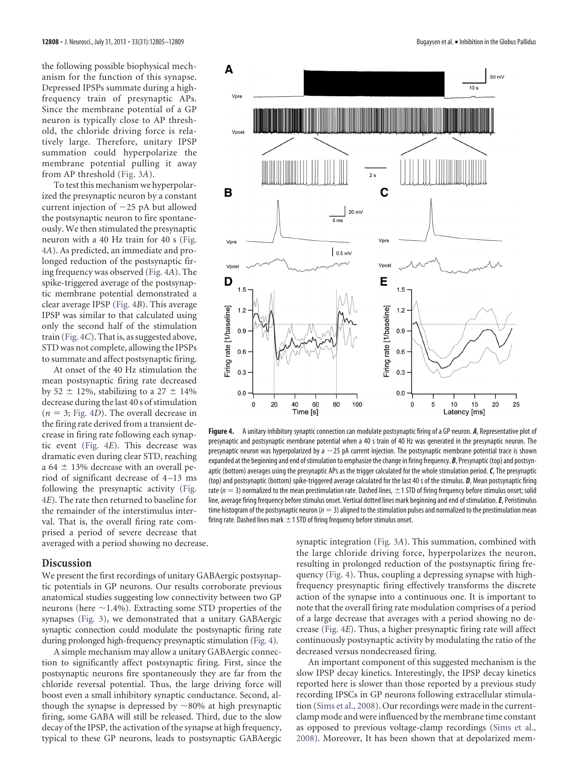the following possible biophysical mechanism for the function of this synapse. Depressed IPSPs summate during a highfrequency train of presynaptic APs. Since the membrane potential of a GP neuron is typically close to AP threshold, the chloride driving force is relatively large. Therefore, unitary IPSP summation could hyperpolarize the membrane potential pulling it away from AP threshold [\(Fig. 3](#page-2-0)*A*).

To test this mechanism we hyperpolarized the presynaptic neuron by a constant current injection of  $-25$  pA but allowed the postsynaptic neuron to fire spontaneously. We then stimulated the presynaptic neuron with a 40 Hz train for 40 s [\(Fig.](#page-3-0) [4](#page-3-0)*A*). As predicted, an immediate and prolonged reduction of the postsynaptic firing frequency was observed [\(Fig. 4](#page-3-0)*A*). The spike-triggered average of the postsynaptic membrane potential demonstrated a clear average IPSP [\(Fig. 4](#page-3-0)*B*). This average IPSP was similar to that calculated using only the second half of the stimulation train [\(Fig. 4](#page-3-0)*C*). That is, as suggested above, STD was not complete, allowing the IPSPs to summate and affect postsynaptic firing.

At onset of the 40 Hz stimulation the mean postsynaptic firing rate decreased by 52  $\pm$  12%, stabilizing to a 27  $\pm$  14% decrease during the last 40 s of stimulation  $(n = 3; Fig. 4D)$  $(n = 3; Fig. 4D)$  $(n = 3; Fig. 4D)$ . The overall decrease in the firing rate derived from a transient decrease in firing rate following each synaptic event [\(Fig. 4](#page-3-0)*E*). This decrease was dramatic even during clear STD, reaching a 64  $\pm$  13% decrease with an overall period of significant decrease of 4 –13 ms following the presynaptic activity [\(Fig.](#page-3-0) [4](#page-3-0)*E*). The rate then returned to baseline for the remainder of the interstimulus interval. That is, the overall firing rate comprised a period of severe decrease that averaged with a period showing no decrease.

#### **Discussion**

We present the first recordings of unitary GABAergic postsynaptic potentials in GP neurons. Our results corroborate previous anatomical studies suggesting low connectivity between two GP neurons (here  $\sim$ 1.4%). Extracting some STD properties of the synapses [\(Fig. 3\)](#page-2-0), we demonstrated that a unitary GABAergic synaptic connection could modulate the postsynaptic firing rate during prolonged high-frequency presynaptic stimulation [\(Fig. 4\)](#page-3-0).

A simple mechanism may allow a unitary GABAergic connection to significantly affect postsynaptic firing. First, since the postsynaptic neurons fire spontaneously they are far from the chloride reversal potential. Thus, the large driving force will boost even a small inhibitory synaptic conductance. Second, although the synapse is depressed by  $\sim$ 80% at high presynaptic firing, some GABA will still be released. Third, due to the slow decay of the IPSP, the activation of the synapse at high frequency, typical to these GP neurons, leads to postsynaptic GABAergic



<span id="page-3-0"></span>**Figure 4.** A unitary inhibitory synaptic connection can modulate postsynaptic firing of a GP neuron. *A*, Representative plot of presynaptic and postsynaptic membrane potential when a 40 s train of 40 Hz was generated in the presynaptic neuron. The presynaptic neuron was hyperpolarized by  $a - 25$  pA current injection. The postsynaptic membrane potential trace is shown expanded at the beginning and end of stimulation to emphasize the change in firing frequency. **B**, Presynaptic (top) and postsynaptic (bottom) averages using the presynaptic APs as the trigger calculated for the whole stimulation period.*C*, The presynaptic (top) and postsynaptic (bottom) spike-triggered average calculated for the last 40 s of the stimulus. *D*, Mean postsynaptic firing rate ( $n = 3$ ) normalized to the mean prestimulation rate. Dashed lines,  $\pm 1$  STD of firing frequency before stimulus onset; solid line, average firing frequency before stimulus onset. Vertical dotted lines mark beginning and end of stimulation.*E*, Peristimulus time histogram of the postsynaptic neuron (*n* 3) aligned to the stimulation pulses and normalized to the prestimulation mean firing rate. Dashed lines mark  $\pm$  1 STD of firing frequency before stimulus onset.

synaptic integration [\(Fig. 3](#page-2-0)*A*). This summation, combined with the large chloride driving force, hyperpolarizes the neuron, resulting in prolonged reduction of the postsynaptic firing frequency [\(Fig. 4\)](#page-3-0). Thus, coupling a depressing synapse with highfrequency presynaptic firing effectively transforms the discrete action of the synapse into a continuous one. It is important to note that the overall firing rate modulation comprises of a period of a large decrease that averages with a period showing no decrease [\(Fig. 4](#page-3-0)*E*). Thus, a higher presynaptic firing rate will affect continuously postsynaptic activity by modulating the ratio of the decreased versus nondecreased firing.

An important component of this suggested mechanism is the slow IPSP decay kinetics. Interestingly, the IPSP decay kinetics reported here is slower than those reported by a previous study recording IPSCs in GP neurons following extracellular stimulation [\(Sims et al., 2008\)](#page-4-6). Our recordings were made in the currentclamp mode and were influenced by the membrane time constant as opposed to previous voltage-clamp recordings [\(Sims et al.,](#page-4-6) [2008\)](#page-4-6). Moreover, It has been shown that at depolarized mem